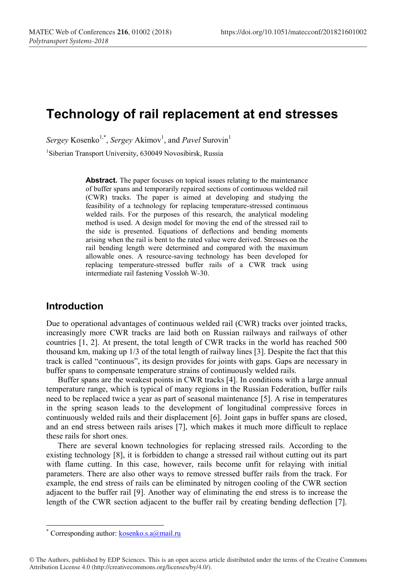# **Technology of rail replacement at end stresses**

 $Sergey$  Kosenko<sup>1,\*</sup>, *Sergey* Akimov<sup>1</sup>, and *Pavel* Surovin<sup>1</sup>

<sup>1</sup>Siberian Transport University, 630049 Novosibirsk, Russia

**Abstract.** The paper focuses on topical issues relating to the maintenance of buffer spans and temporarily repaired sections of continuous welded rail (CWR) tracks. The paper is aimed at developing and studying the feasibility of a technology for replacing temperature-stressed continuous welded rails. For the purposes of this research, the analytical modeling method is used. A design model for moving the end of the stressed rail to the side is presented. Equations of deflections and bending moments arising when the rail is bent to the rated value were derived. Stresses on the rail bending length were determined and compared with the maximum allowable ones. A resource-saving technology has been developed for replacing temperature-stressed buffer rails of a CWR track using intermediate rail fastening Vossloh W-30.

#### **Introduction**

Due to operational advantages of continuous welded rail (CWR) tracks over jointed tracks, increasingly more CWR tracks are laid both on Russian railways and railways of other countries [1, 2]. At present, the total length of CWR tracks in the world has reached 500 thousand km, making up 1/3 of the total length of railway lines [3]. Despite the fact that this track is called "continuous", its design provides for joints with gaps. Gaps are necessary in buffer spans to compensate temperature strains of continuously welded rails.

Buffer spans are the weakest points in CWR tracks [4]. In conditions with a large annual temperature range, which is typical of many regions in the Russian Federation, buffer rails need to be replaced twice a year as part of seasonal maintenance [5]. A rise in temperatures in the spring season leads to the development of longitudinal compressive forces in continuously welded rails and their displacement [6]. Joint gaps in buffer spans are closed, and an end stress between rails arises [7], which makes it much more difficult to replace these rails for short ones.

There are several known technologies for replacing stressed rails. According to the existing technology [8], it is forbidden to change a stressed rail without cutting out its part with flame cutting. In this case, however, rails become unfit for relaying with initial parameters. There are also other ways to remove stressed buffer rails from the track. For example, the end stress of rails can be eliminated by nitrogen cooling of the CWR section adjacent to the buffer rail [9]. Another way of eliminating the end stress is to increase the length of the CWR section adjacent to the buffer rail by creating bending deflection [7].

<sup>\*</sup> Corresponding author:  $kosenko.s.a@mail.ru$ 

<sup>©</sup> The Authors, published by EDP Sciences. This is an open access article distributed under the terms of the Creative Commons Attribution License 4.0 (http://creativecommons.org/licenses/by/4.0/).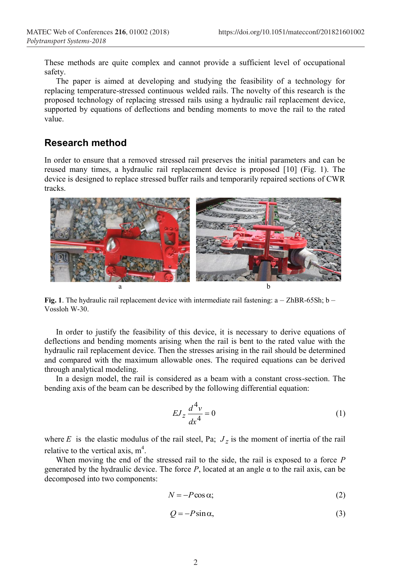These methods are quite complex and cannot provide a sufficient level of occupational safety.

The paper is aimed at developing and studying the feasibility of a technology for replacing temperature-stressed continuous welded rails. The novelty of this research is the proposed technology of replacing stressed rails using a hydraulic rail replacement device, supported by equations of deflections and bending moments to move the rail to the rated value.

## **Research method**

In order to ensure that a removed stressed rail preserves the initial parameters and can be reused many times, a hydraulic rail replacement device is proposed [10] (Fig. 1). The device is designed to replace stressed buffer rails and temporarily repaired sections of CWR tracks.



**Fig. 1**. The hydraulic rail replacement device with intermediate rail fastening: a – ZhBR-65Sh; b – Vossloh W-30.

In order to justify the feasibility of this device, it is necessary to derive equations of deflections and bending moments arising when the rail is bent to the rated value with the hydraulic rail replacement device. Then the stresses arising in the rail should be determined and compared with the maximum allowable ones. The required equations can be derived through analytical modeling.

In a design model, the rail is considered as a beam with a constant cross-section. The bending axis of the beam can be described by the following differential equation:

$$
EJ_z \frac{d^4v}{dx^4} = 0\tag{1}
$$

where *E* is the elastic modulus of the rail steel, Pa;  $J_z$  is the moment of inertia of the rail relative to the vertical axis,  $m<sup>4</sup>$ .

When moving the end of the stressed rail to the side, the rail is exposed to a force *P* generated by the hydraulic device. The force  $P$ , located at an angle  $\alpha$  to the rail axis, can be decomposed into two components:

$$
N = -P\cos\alpha;\tag{2}
$$

$$
Q = -P\sin\alpha,\tag{3}
$$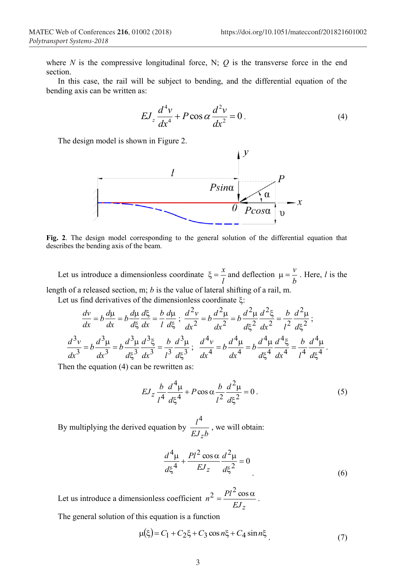where  $N$  is the compressive longitudinal force, N;  $Q$  is the transverse force in the end section.

In this case, the rail will be subject to bending, and the differential equation of the bending axis can be written as:

$$
EJ_z \frac{d^4v}{dx^4} + P\cos\alpha \frac{d^2v}{dx^2} = 0.
$$
 (4)

The design model is shown in Figure 2.



**Fig. 2**. The design model corresponding to the general solution of the differential equation that describes the bending axis of the beam.

Let us introduce a dimensionless coordinate  $\zeta = \frac{x}{l}$  and deflection  $\mu = \frac{v}{b}$  $\mu = \frac{v}{l}$ . Here, *l* is the length of a released section, m; *b* is the value of lateral shifting of a rail, m.

Let us find derivatives of the dimensionless coordinate  $\xi$ :

$$
\frac{dv}{dx} = b\frac{d\mu}{dx} = b\frac{d\mu}{d\xi}\frac{d\xi}{dx} = \frac{b}{l}\frac{d\mu}{d\xi}; \quad \frac{d^2v}{dx^2} = b\frac{d^2\mu}{dx^2} = b\frac{d^2\mu}{d\xi^2}\frac{d^2\xi}{dx^2} = \frac{b}{l^2}\frac{d^2\mu}{d\xi^2};
$$
\n
$$
\frac{d^3v}{dx^3} = b\frac{d^3\mu}{dx^3} = b\frac{d^3\mu}{d\xi^3}\frac{d^3\xi}{dx^3} = \frac{b}{l^3}\frac{d^3\mu}{d\xi^3}; \quad \frac{d^4v}{dx^4} = b\frac{d^4\mu}{dx^4} = b\frac{d^4\mu}{d\xi^4}\frac{d^4\xi}{dx^4} = \frac{b}{l^4}\frac{d^4\mu}{d\xi^4}.
$$

Then the equation (4) can be rewritten as:

$$
EJ_z \frac{b}{l^4} \frac{d^4 \mu}{d\xi^4} + P \cos \alpha \frac{b}{l^2} \frac{d^2 \mu}{d\xi^2} = 0.
$$
 (5)

By multiplying the derived equation by  $\frac{l^4}{E J_z b}$ *z* 4 , we will obtain:

$$
\frac{d^4\mu}{d\xi^4} + \frac{Pl^2\cos\alpha}{EJ_z}\frac{d^2\mu}{d\xi^2} = 0
$$
\n(6)

Let us introduce a dimensionless coefficient  $n^2 = \frac{PQ}{EJ_z}$  $n^2 = \frac{Pl^2 \cos \alpha}{\sigma L}$ .

The general solution of this equation is a function

$$
\mu(\xi) = C_1 + C_2 \xi + C_3 \cos n\xi + C_4 \sin n\xi
$$
\n(7)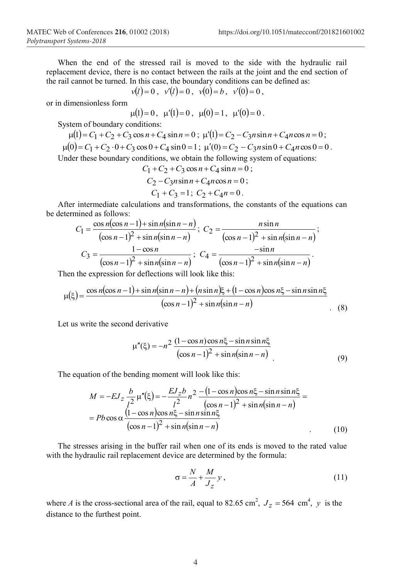When the end of the stressed rail is moved to the side with the hydraulic rail replacement device, there is no contact between the rails at the joint and the end section of the rail cannot be turned. In this case, the boundary conditions can be defined as:

$$
v(l) = 0
$$
,  $v'(l) = 0$ ,  $v(0) = b$ ,  $v'(0) = 0$ ,

or in dimensionless form

$$
\mu(1)=0
$$
,  $\mu'(1)=0$ ,  $\mu(0)=1$ ,  $\mu'(0)=0$ .

System of boundary conditions:

$$
\mu(1) = C_1 + C_2 + C_3 \cos n + C_4 \sin n = 0; \ \mu'(1) = C_2 - C_3 n \sin n + C_4 n \cos n = 0; \n\mu(0) = C_1 + C_2 \cdot 0 + C_3 \cos 0 + C_4 \sin 0 = 1; \ \mu'(0) = C_2 - C_3 n \sin 0 + C_4 n \cos 0 = 0.
$$
\nUnder these boundary conditions, we obtain the following system of equations:

$$
C_1 + C_2 + C_3 \cos n + C_4 \sin n = 0 ;
$$
  
\n
$$
C_2 - C_3 n \sin n + C_4 n \cos n = 0 ;
$$
  
\n
$$
C_1 + C_3 = 1; C_2 + C_4 n = 0.
$$

After intermediate calculations and transformations, the constants of the equations can be determined as follows:

$$
C_1 = \frac{\cos n(\cos n - 1) + \sin n(\sin n - n)}{(\cos n - 1)^2 + \sin n(\sin n - n)}; \ C_2 = \frac{n \sin n}{(\cos n - 1)^2 + \sin n(\sin n - n)}; C_3 = \frac{1 - \cos n}{(\cos n - 1)^2 + \sin n(\sin n - n)}; \ C_4 = \frac{-\sin n}{(\cos n - 1)^2 + \sin n(\sin n - n)}.
$$

Then the expression for deflections will look like this:

$$
\mu(\xi) = \frac{\cos n(\cos n - 1) + \sin n(\sin n - n) + (n \sin n)\xi + (1 - \cos n)\cos n\xi - \sin n \sin n\xi}{(\cos n - 1)^2 + \sin n(\sin n - n)}\tag{8}
$$

Let us write the second derivative

$$
\mu''(\xi) = -n^2 \frac{(1 - \cos n)\cos n\xi - \sin n \sin n\xi}{(\cos n - 1)^2 + \sin n(\sin n - n)}
$$
(9)

The equation of the bending moment will look like this:

$$
M = -EJ_z \frac{b}{l^2} \mu''(\xi) = -\frac{EJ_z b}{l^2} n^2 \frac{- (1 - \cos n)\cos n\xi - \sin n\sin n\xi}{(\cos n - 1)^2 + \sin n(\sin n - n)} =
$$
  
=  $Pb \cos \alpha \frac{(1 - \cos n)\cos n\xi - \sin n\sin n\xi}{(\cos n - 1)^2 + \sin n(\sin n - n)}$  (10)

The stresses arising in the buffer rail when one of its ends is moved to the rated value with the hydraulic rail replacement device are determined by the formula:

$$
\sigma = \frac{N}{A} + \frac{M}{J_z} y \,, \tag{11}
$$

where *A* is the cross-sectional area of the rail, equal to 82.65 cm<sup>2</sup>,  $J_z = 564$  cm<sup>4</sup>, y is the distance to the furthest point.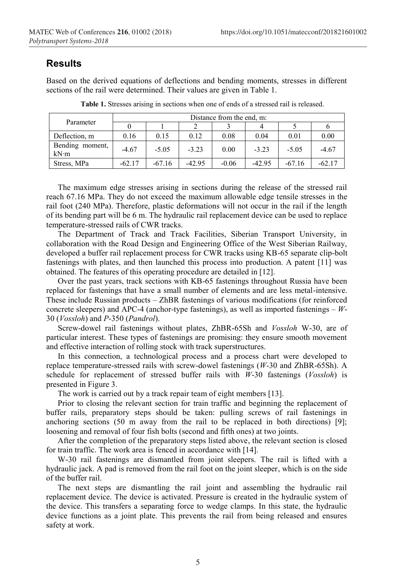### **Results**

Based on the derived equations of deflections and bending moments, stresses in different sections of the rail were determined. Their values are given in Table 1.

| Parameter               | Distance from the end, m: |          |          |         |          |          |          |  |
|-------------------------|---------------------------|----------|----------|---------|----------|----------|----------|--|
|                         |                           |          |          |         |          |          |          |  |
| Deflection, m           | 0.16                      | 0.15     | 0.12     | 0.08    | 0.04     | 0.01     | 0.00     |  |
| Bending moment,<br>kN·m | $-4.67$                   | $-5.05$  | $-3.23$  | 0.00    | $-3.23$  | $-5.05$  | $-4.67$  |  |
| Stress, MPa             | $-62.17$                  | $-67.16$ | $-42.95$ | $-0.06$ | $-42.95$ | $-67.16$ | $-62.17$ |  |

**Table 1.** Stresses arising in sections when one of ends of a stressed rail is released.

The maximum edge stresses arising in sections during the release of the stressed rail reach 67.16 MPa. They do not exceed the maximum allowable edge tensile stresses in the rail foot (240 MPa). Therefore, plastic deformations will not occur in the rail if the length of its bending part will be 6 m. The hydraulic rail replacement device can be used to replace temperature-stressed rails of CWR tracks.

The Department of Track and Track Facilities, Siberian Transport University, in collaboration with the Road Design and Engineering Office of the West Siberian Railway, developed a buffer rail replacement process for CWR tracks using KB-65 separate clip-bolt fastenings with plates, and then launched this process into production. A patent [11] was obtained. The features of this operating procedure are detailed in [12].

Over the past years, track sections with KB-65 fastenings throughout Russia have been replaced for fastenings that have a small number of elements and are less metal-intensive. These include Russian products – ZhBR fastenings of various modifications (for reinforced concrete sleepers) and APC-4 (anchor-type fastenings), as well as imported fastenings – *W*-30 (*Vossloh*) and *P*-350 (*Pandrol*).

Screw-dowel rail fastenings without plates, ZhBR-65Sh and *Vossloh* W-30, are of particular interest. These types of fastenings are promising: they ensure smooth movement and effective interaction of rolling stock with track superstructures.

In this connection, a technological process and a process chart were developed to replace temperature-stressed rails with screw-dowel fastenings (*W*-30 and ZhBR-65Sh). A schedule for replacement of stressed buffer rails with *W*-30 fastenings (*Vossloh*) is presented in Figure 3.

The work is carried out by a track repair team of eight members [13].

Prior to closing the relevant section for train traffic and beginning the replacement of buffer rails, preparatory steps should be taken: pulling screws of rail fastenings in anchoring sections (50 m away from the rail to be replaced in both directions) [9]; loosening and removal of four fish bolts (second and fifth ones) at two joints.

After the completion of the preparatory steps listed above, the relevant section is closed for train traffic. The work area is fenced in accordance with [14].

W-30 rail fastenings are dismantled from joint sleepers. The rail is lifted with a hydraulic jack. A pad is removed from the rail foot on the joint sleeper, which is on the side of the buffer rail.

The next steps are dismantling the rail joint and assembling the hydraulic rail replacement device. The device is activated. Pressure is created in the hydraulic system of the device. This transfers a separating force to wedge clamps. In this state, the hydraulic device functions as a joint plate. This prevents the rail from being released and ensures safety at work.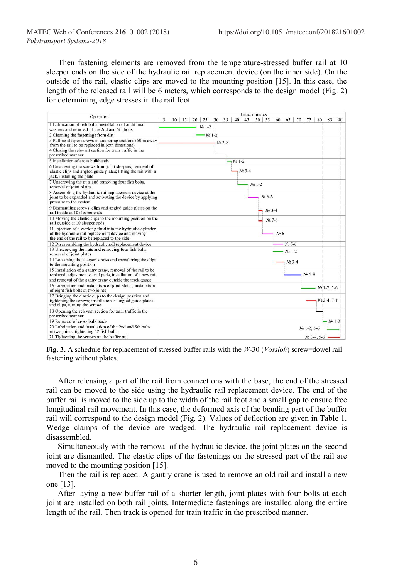Then fastening elements are removed from the temperature-stressed buffer rail at 10 sleeper ends on the side of the hydraulic rail replacement device (on the inner side). On the outside of the rail, elastic clips are moved to the mounting position [15]. In this case, the length of the released rail will be 6 meters, which corresponds to the design model (Fig. 2) for determining edge stresses in the rail foot.

| Operation                                                                                                                                                            | Time, minutes                                                                               |               |    |  |  |  |  |
|----------------------------------------------------------------------------------------------------------------------------------------------------------------------|---------------------------------------------------------------------------------------------|---------------|----|--|--|--|--|
|                                                                                                                                                                      | 35<br>45<br>5<br>15<br>20<br>25<br>30<br>40<br>50<br>55<br>60<br>65<br>70<br>75<br>80<br>10 | 85            | 90 |  |  |  |  |
| 1 Lubrication of fish bolts, installation of additional                                                                                                              | $Ne$ 1-2                                                                                    |               |    |  |  |  |  |
| washers and removal of the 2nd and 5th bolts                                                                                                                         |                                                                                             |               |    |  |  |  |  |
| 2 Cleaning the fastenings from dirt                                                                                                                                  | $Ne$ $1-2$                                                                                  |               |    |  |  |  |  |
| 3 Pulling sleeper screws in anchoring sections (50 m away<br>from the rail to be replaced in both directions)                                                        | No 3-8                                                                                      |               |    |  |  |  |  |
| 4 Closing the relevant section for train traffic in the<br>prescribed manner                                                                                         |                                                                                             |               |    |  |  |  |  |
| 5 Installation of cross bulkheads                                                                                                                                    | $N2$ 1-2                                                                                    |               |    |  |  |  |  |
| 6 Unscrewing the screws from joint sleepers, removal of<br>elastic clips and angled guide plates; lifting the rail with a<br>jack, installing the plate              | $Ne3-4$                                                                                     |               |    |  |  |  |  |
| 7 Unscrewing the nuts and removing four fish bolts,<br>removal of joint plates                                                                                       | $No 1-2$                                                                                    |               |    |  |  |  |  |
| 8 Assembling the hydraulic rail replacement device at the<br>joint to be expanded and activating the device by applying<br>pressure to the system                    | No 5-6                                                                                      |               |    |  |  |  |  |
| 9 Dismantling screws, clips and angled guide plates on the<br>rail inside at 10 sleeper ends                                                                         | $Ne$ 3-4                                                                                    |               |    |  |  |  |  |
| 10 Moving the elastic clips to the mounting position on the<br>rail outside at 10 sleeper ends                                                                       | No 7-8                                                                                      |               |    |  |  |  |  |
| 11 Injection of a working fluid into the hydraulic cylinder<br>of the hydraulic rail replacement device and moving<br>the end of the rail to be replaced to the side | Ne <sub>6</sub>                                                                             |               |    |  |  |  |  |
| 12 Disassembling the hydraulic rail replacement device                                                                                                               | No 5-6                                                                                      |               |    |  |  |  |  |
| 13 Unscrewing the nuts and removing four fish bolts,<br>removal of joint plates                                                                                      | No 1-2                                                                                      |               |    |  |  |  |  |
| 14 Loosening the sleeper screws and transferring the clips<br>to the mounting position                                                                               | $Ne3-4$                                                                                     |               |    |  |  |  |  |
| 15 Installation of a gantry crane, removal of the rail to be<br>replaced, adjustment of rail pads, installation of a new rail                                        | $N2$ 5-8                                                                                    |               |    |  |  |  |  |
| and removal of the gantry crane outside the track gauge                                                                                                              |                                                                                             |               |    |  |  |  |  |
| 16 Lubrication and installation of joint plates, installation<br>of eight fish bolts at two joints                                                                   |                                                                                             | $N2$ 1-2, 5-6 |    |  |  |  |  |
| 17 Bringing the elastic clips to the design position and<br>tightening the screws; installation of angled guide plates<br>and clips, turning the screws              |                                                                                             | $Ne$ 3-4, 7-8 |    |  |  |  |  |
| 18 Opening the relevant section for train traffic in the<br>prescribed manner                                                                                        |                                                                                             |               |    |  |  |  |  |
| 19 Removal of cross bulkheads                                                                                                                                        |                                                                                             | $-$ No 1-2    |    |  |  |  |  |
| 20 Lubrication and installation of the 2nd and 5th bolts<br>at two joints, tightening 12 fish bolts                                                                  | No 1-2, 5-6                                                                                 |               |    |  |  |  |  |
| 21 Tightening the screws on the buffer rail                                                                                                                          | $Ne$ 3-4, 5-6                                                                               |               |    |  |  |  |  |

**Fig. 3.** A schedule for replacement of stressed buffer rails with the *W*-30 (*Vossloh*) screw=dowel rail fastening without plates.

After releasing a part of the rail from connections with the base, the end of the stressed rail can be moved to the side using the hydraulic rail replacement device. The end of the buffer rail is moved to the side up to the width of the rail foot and a small gap to ensure free longitudinal rail movement. In this case, the deformed axis of the bending part of the buffer rail will correspond to the design model (Fig. 2). Values of deflection are given in Table 1. Wedge clamps of the device are wedged. The hydraulic rail replacement device is disassembled.

Simultaneously with the removal of the hydraulic device, the joint plates on the second joint are dismantled. The elastic clips of the fastenings on the stressed part of the rail are moved to the mounting position [15].

Then the rail is replaced. A gantry crane is used to remove an old rail and install a new one [13].

After laying a new buffer rail of a shorter length, joint plates with four bolts at each joint are installed on both rail joints. Intermediate fastenings are installed along the entire length of the rail. Then track is opened for train traffic in the prescribed manner.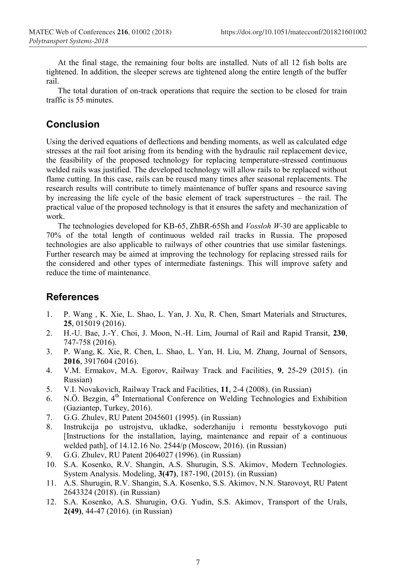At the final stage, the remaining four bolts are installed. Nuts of all 12 fish bolts are tightened. In addition, the sleeper screws are tightened along the entire length of the buffer rail.

The total duration of on-track operations that require the section to be closed for train traffic is 55 minutes.

### **Conclusion**

Using the derived equations of deflections and bending moments, as well as calculated edge stresses at the rail foot arising from its bending with the hydraulic rail replacement device, the feasibility of the proposed technology for replacing temperature-stressed continuous welded rails was justified. The developed technology will allow rails to be replaced without flame cutting. In this case, rails can be reused many times after seasonal replacements. The research results will contribute to timely maintenance of buffer spans and resource saving by increasing the life cycle of the basic element of track superstructures – the rail. The practical value of the proposed technology is that it ensures the safety and mechanization of work.

The technologies developed for KB-65, ZhBR-65Sh and *Vossloh W*-30 are applicable to 70% of the total length of continuous welded rail tracks in Russia. The proposed technologies are also applicable to railways of other countries that use similar fastenings. Further research may be aimed at improving the technology for replacing stressed rails for the considered and other types of intermediate fastenings. This will improve safety and reduce the time of maintenance.

#### **References**

- 1. P. Wang , K. Xie, L. Shao, L. Yan, J. Xu, R. Chen, Smart Materials and Structures, **25**, 015019 (2016).
- 2. H.-U. Bae, J.-Y. Choi, J. Moon, N.-H. Lim, Journal of Rail and Rapid Transit, **230**, 747-758 (2016).
- 3. P. Wang, K. Xie, R. Chen, L. Shao, L. Yan, H. Liu, M. Zhang, Journal of Sensors, **2016**, 3917604 (2016).
- 4. V.M. Ermakov, M.A. Egorov, Railway Track and Facilities, **9**, 25-29 (2015). (in Russian)
- 5. V.I. Novakovich, Railway Track and Facilities, **11**, 2-4 (2008). (in Russian)
- 6. N.Ö. Bezgin, 4<sup>th</sup> International Conference on Welding Technologies and Exhibition (Gaziantep, Turkey, 2016).
- 7. G.G. Zhulev, RU Patent 2045601 (1995). (in Russian)
- 8. Instrukcija po ustrojstvu, ukladke, soderzhaniju i remontu besstykovogo puti [Instructions for the installation, laying, maintenance and repair of a continuous welded path], of 14.12.16 No. 2544/р (Moscow, 2016). (in Russian)
- 9. G.G. Zhulev, RU Patent 2064027 (1996). (in Russian)
- 10. S.A. Kosenko, R.V. Shangin, A.S. Shurugin, S.S. Akimov, Modern Technologies. System Analysis. Modeling, **3(47)**, 187-190, (2015). (in Russian)
- 11. A.S. Shurugin, R.V. Shangin, S.A. Kosenko, S.S. Akimov, N.N. Starovoyt, RU Patent 2643324 (2018). (in Russian)
- 12. S.A. Kosenko, A.S. Shurugin, O.G. Yudin, S.S. Akimov, Transport of the Urals, **2(49)**, 44-47 (2016). (in Russian)